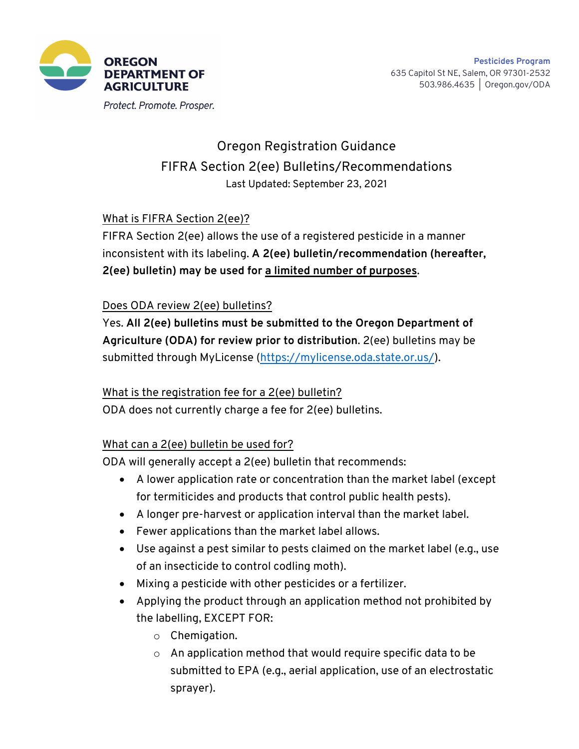

Protect. Promote. Prosper.

# Oregon Registration Guidance FIFRA Section 2(ee) Bulletins/Recommendations Last Updated: September 23, 2021

## What is FIFRA Section 2(ee)?

FIFRA Section 2(ee) allows the use of a registered pesticide in a manner inconsistent with its labeling. **A 2(ee) bulletin/recommendation (hereafter, 2(ee) bulletin) may be used for a limited number of purposes**.

#### Does ODA review 2(ee) bulletins?

Yes. **All 2(ee) bulletins must be submitted to the Oregon Department of Agriculture (ODA) for review prior to distribution**. 2(ee) bulletins may be submitted through MyLicense (https://mylicense.oda.state.or.us/).

#### What is the registration fee for a 2(ee) bulletin?

ODA does not currently charge a fee for 2(ee) bulletins.

#### What can a 2(ee) bulletin be used for?

ODA will generally accept a 2(ee) bulletin that recommends:

- A lower application rate or concentration than the market label (except for termiticides and products that control public health pests).
- A longer pre-harvest or application interval than the market label.
- Fewer applications than the market label allows.
- Use against a pest similar to pests claimed on the market label (e.g., use of an insecticide to control codling moth).
- Mixing a pesticide with other pesticides or a fertilizer.
- Applying the product through an application method not prohibited by the labelling, EXCEPT FOR:
	- o Chemigation.
	- o An application method that would require specific data to be submitted to EPA (e.g., aerial application, use of an electrostatic sprayer).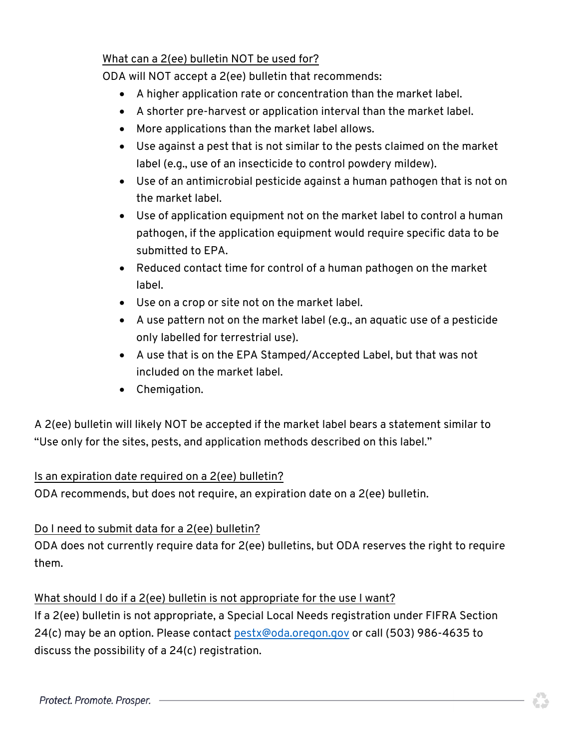### What can a 2(ee) bulletin NOT be used for?

ODA will NOT accept a 2(ee) bulletin that recommends:

- A higher application rate or concentration than the market label.
- A shorter pre-harvest or application interval than the market label.
- More applications than the market label allows.
- Use against a pest that is not similar to the pests claimed on the market label (e.g., use of an insecticide to control powdery mildew).
- Use of an antimicrobial pesticide against a human pathogen that is not on the market label.
- Use of application equipment not on the market label to control a human pathogen, if the application equipment would require specific data to be submitted to EPA.
- Reduced contact time for control of a human pathogen on the market label.
- Use on a crop or site not on the market label.
- A use pattern not on the market label (e.g., an aquatic use of a pesticide only labelled for terrestrial use).
- A use that is on the EPA Stamped/Accepted Label, but that was not included on the market label.
- Chemigation.

A 2(ee) bulletin will likely NOT be accepted if the market label bears a statement similar to "Use only for the sites, pests, and application methods described on this label."

# Is an expiration date required on a 2(ee) bulletin?

ODA recommends, but does not require, an expiration date on a 2(ee) bulletin.

# Do I need to submit data for a 2(ee) bulletin?

ODA does not currently require data for 2(ee) bulletins, but ODA reserves the right to require them.

#### What should I do if a 2(ee) bulletin is not appropriate for the use I want?

If a 2(ee) bulletin is not appropriate, a Special Local Needs registration under FIFRA Section 24(c) may be an option. Please contact [pestx@oda.oregon.gov](mailto:pestx@oda.oregon.gov) or call (503) 986-4635 to discuss the possibility of a 24(c) registration.